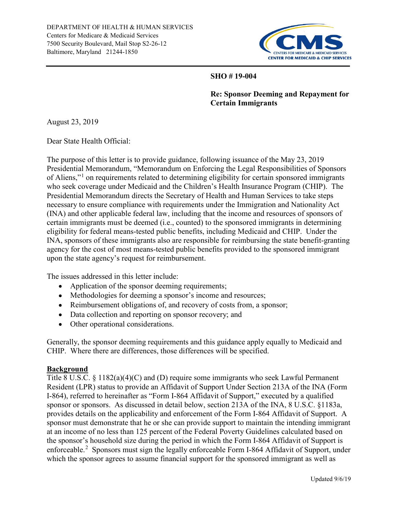

#### SHO # 19-004

Re: Sponsor Deeming and Repayment for Certain Immigrants

August 23, 2019

Dear State Health Official:

The purpose of this letter is to provide guidance, following issuance of the May 23, 2019 Presidential Memorandum, "Memorandum on Enforcing the Legal Responsibilities of Sponsors of Aliens,"<sup>1</sup> on requirements related to determining eligibility for certain sponsored immigrants who seek coverage under Medicaid and the Children's Health Insurance Program (CHIP). The Presidential Memorandum directs the Secretary of Health and Human Services to take steps necessary to ensure compliance with requirements under the Immigration and Nationality Act (INA) and other applicable federal law, including that the income and resources of sponsors of certain immigrants must be deemed (i.e., counted) to the sponsored immigrants in determining eligibility for federal means-tested public benefits, including Medicaid and CHIP. Under the INA, sponsors of these immigrants also are responsible for reimbursing the state benefit-granting agency for the cost of most means-tested public benefits provided to the sponsored immigrant upon the state agency's request for reimbursement.

The issues addressed in this letter include:

- Application of the sponsor deeming requirements;
- Methodologies for deeming a sponsor's income and resources;
- Reimbursement obligations of, and recovery of costs from, a sponsor;
- Data collection and reporting on sponsor recovery; and
- Other operational considerations.

Generally, the sponsor deeming requirements and this guidance apply equally to Medicaid and CHIP. Where there are differences, those differences will be specified.

# Background

Title 8 U.S.C. § 1182(a)(4)(C) and (D) require some immigrants who seek Lawful Permanent Resident (LPR) status to provide an Affidavit of Support Under Section 213A of the INA (Form I-864), referred to hereinafter as "Form I-864 Affidavit of Support," executed by a qualified sponsor or sponsors. As discussed in detail below, section 213A of the INA, 8 U.S.C. §1183a, provides details on the applicability and enforcement of the Form I-864 Affidavit of Support. A sponsor must demonstrate that he or she can provide support to maintain the intending immigrant at an income of no less than 125 percent of the Federal Poverty Guidelines calculated based on the sponsor's household size during the period in which the Form I-864 Affidavit of Support is enforceable.<sup>2</sup> Sponsors must sign the legally enforceable Form I-864 Affidavit of Support, under which the sponsor agrees to assume financial support for the sponsored immigrant as well as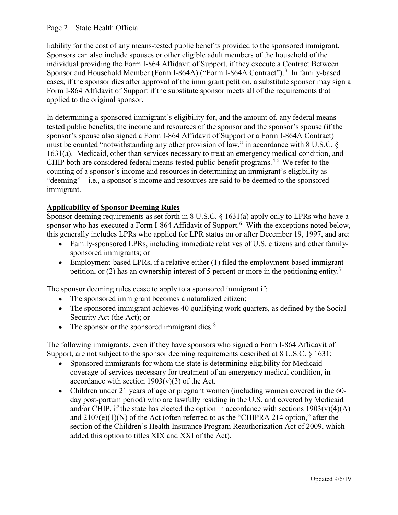# Page 2 – State Health Official

liability for the cost of any means-tested public benefits provided to the sponsored immigrant. Sponsors can also include spouses or other eligible adult members of the household of the individual providing the Form I-864 Affidavit of Support, if they execute a Contract Between Sponsor and Household Member (Form I-864A) ("Form I-864A Contract").<sup>3</sup> In family-based cases, if the sponsor dies after approval of the immigrant petition, a substitute sponsor may sign a Form I-864 Affidavit of Support if the substitute sponsor meets all of the requirements that applied to the original sponsor.

In determining a sponsored immigrant's eligibility for, and the amount of, any federal meanstested public benefits, the income and resources of the sponsor and the sponsor's spouse (if the sponsor's spouse also signed a Form I-864 Affidavit of Support or a Form I-864A Contract) must be counted "notwithstanding any other provision of law," in accordance with 8 U.S.C. § 1631(a). Medicaid, other than services necessary to treat an emergency medical condition, and CHIP both are considered federal means-tested public benefit programs.<sup>4,5</sup> We refer to the counting of a sponsor's income and resources in determining an immigrant's eligibility as "deeming" – i.e., a sponsor's income and resources are said to be deemed to the sponsored immigrant. liability for the cost of any means-tested public benefits provided to the sponsored<br>Sponsors can also include spouses or other eligible adult members of the household<br>individual providing the Form 1-864 Affidavit of Supp

Sponsor deeming requirements as set forth in 8 U.S.C. § 1631(a) apply only to LPRs who have a sponsor who has executed a Form I-864 Affidavit of Support.<sup>6</sup> With the exceptions noted below, this generally includes LPRs who applied for LPR status on or after December 19, 1997, and are:

- Family-sponsored LPRs, including immediate relatives of U.S. citizens and other familysponsored immigrants; or
- Employment-based LPRs, if a relative either (1) filed the employment-based immigrant petition, or (2) has an ownership interest of 5 percent or more in the petitioning entity.<sup>7</sup>

The sponsor deeming rules cease to apply to a sponsored immigrant if:

- The sponsored immigrant becomes a naturalized citizen;
- The sponsored immigrant achieves 40 qualifying work quarters, as defined by the Social Security Act (the Act); or
- The sponsor or the sponsored immigrant dies. $8$

The following immigrants, even if they have sponsors who signed a Form I-864 Affidavit of Support, are not subject to the sponsor deeming requirements described at 8 U.S.C. § 1631:

- Sponsored immigrants for whom the state is determining eligibility for Medicaid coverage of services necessary for treatment of an emergency medical condition, in accordance with section  $1903(v)(3)$  of the Act.
- Children under 21 years of age or pregnant women (including women covered in the 60 day post-partum period) who are lawfully residing in the U.S. and covered by Medicaid and/or CHIP, if the state has elected the option in accordance with sections  $1903(v)(4)(A)$ and  $2107(e)(1)(N)$  of the Act (often referred to as the "CHIPRA 214 option," after the section of the Children's Health Insurance Program Reauthorization Act of 2009, which added this option to titles XIX and XXI of the Act).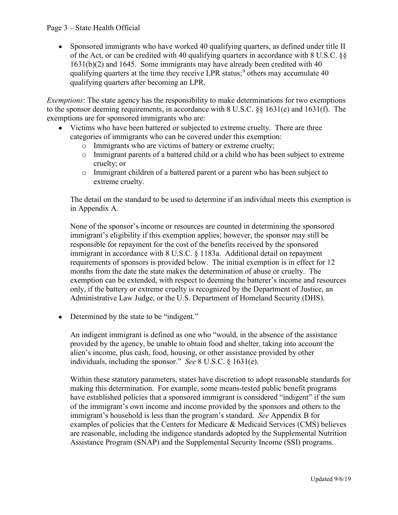• Sponsored immigrants who have worked 40 qualifying quarters, as defined under title II of the Act, or can be credited with 40 qualifying quarters in accordance with 8 U.S.C. §§ 1631(b)(2) and 1645. Some immigrants may have already been credited with 40 qualifying quarters at the time they receive LPR status;<sup>9</sup> others may accumulate 40 qualifying quarters after becoming an LPR.

Exemptions: The state agency has the responsibility to make determinations for two exemptions to the sponsor deeming requirements, in accordance with 8 U.S.C. §§ 1631(e) and 1631(f). The exemptions are for sponsored immigrants who are:

- Victims who have been battered or subjected to extreme cruelty. There are three categories of immigrants who can be covered under this exemption:
	- o Immigrants who are victims of battery or extreme cruelty;
	- o Immigrant parents of a battered child or a child who has been subject to extreme cruelty; or
	- o Immigrant children of a battered parent or a parent who has been subject to extreme cruelty.

The detail on the standard to be used to determine if an individual meets this exemption is in Appendix A.

None of the sponsor's income or resources are counted in determining the sponsored qualifying quarters at the time they receive LPR status;<sup>2</sup> others may accumulate 40<br>qualifying quarters at the time they receive LPR status;<sup>2</sup> others may accumulate 40<br>qualifying quarters after becoming an LPR.<br> *ions*: responsible for repayment for the cost of the benefits received by the sponsored immigrant in accordance with 8 U.S.C. § 1183a. Additional detail on repayment requirements of sponsors is provided below. The initial exemption is in effect for 12 months from the date the state makes the determination of abuse or cruelty. The exemption can be extended, with respect to deeming the batterer's income and resources only, if the battery or extreme cruelty is recognized by the Department of Justice, an Administrative Law Judge, or the U.S. Department of Homeland Security (DHS).

• Determined by the state to be "indigent."

An indigent immigrant is defined as one who "would, in the absence of the assistance provided by the agency, be unable to obtain food and shelter, taking into account the alien's income, plus cash, food, housing, or other assistance provided by other individuals, including the sponsor." See 8 U.S.C. § 1631(e).

Within these statutory parameters, states have discretion to adopt reasonable standards for making this determination. For example, some means-tested public benefit programs have established policies that a sponsored immigrant is considered "indigent" if the sum of the immigrant's own income and income provided by the sponsors and others to the immigrant's household is less than the program's standard. See Appendix B for examples of policies that the Centers for Medicare & Medicaid Services (CMS) believes are reasonable, including the indigence standards adopted by the Supplemental Nutrition Assistance Program (SNAP) and the Supplemental Security Income (SSI) programs.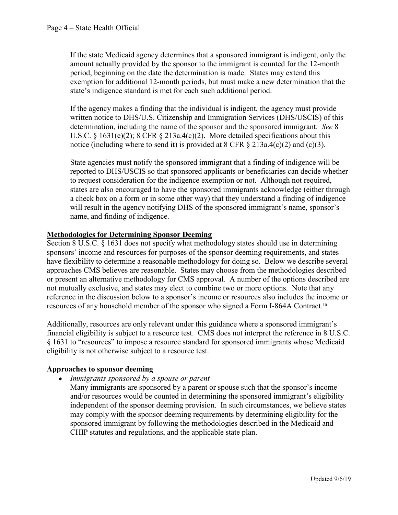If the state Medicaid agency determines that a sponsored immigrant is indigent, only the amount actually provided by the sponsor to the immigrant is counted for the 12-month period, beginning on the date the determination is made. States may extend this exemption for additional 12-month periods, but must make a new determination that the state's indigence standard is met for each such additional period.

If the agency makes a finding that the individual is indigent, the agency must provide written notice to DHS/U.S. Citizenship and Immigration Services (DHS/USCIS) of this determination, including the name of the sponsor and the sponsored immigrant. See 8 U.S.C. § 1631(e)(2); 8 CFR § 213a.4(c)(2). More detailed specifications about this notice (including where to send it) is provided at  $8 \text{ CFR } \S$  213a.4(c)(2) and (c)(3).

State agencies must notify the sponsored immigrant that a finding of indigence will be reported to DHS/USCIS so that sponsored applicants or beneficiaries can decide whether to request consideration for the indigence exemption or not. Although not required, states are also encouraged to have the sponsored immigrants acknowledge (either through a check box on a form or in some other way) that they understand a finding of indigence If the state Medicaid agency determines that a sponsored immigrant is indigent, only the amount actually provided by the sponsor to the immigrant is counted for the 12-month period, beginning on the date the determination name, and finding of indigence.

# Methodologies for Determining Sponsor Deeming

Section 8 U.S.C. § 1631 does not specify what methodology states should use in determining sponsors' income and resources for purposes of the sponsor deeming requirements, and states have flexibility to determine a reasonable methodology for doing so. Below we describe several approaches CMS believes are reasonable. States may choose from the methodologies described or present an alternative methodology for CMS approval. A number of the options described are not mutually exclusive, and states may elect to combine two or more options. Note that any reference in the discussion below to a sponsor's income or resources also includes the income or resources of any household member of the sponsor who signed a Form I-864A Contract.10

Additionally, resources are only relevant under this guidance where a sponsored immigrant's financial eligibility is subject to a resource test. CMS does not interpret the reference in 8 U.S.C. § 1631 to "resources" to impose a resource standard for sponsored immigrants whose Medicaid eligibility is not otherwise subject to a resource test.

# Approaches to sponsor deeming

- Immigrants sponsored by a spouse or parent
	- Many immigrants are sponsored by a parent or spouse such that the sponsor's income and/or resources would be counted in determining the sponsored immigrant's eligibility independent of the sponsor deeming provision. In such circumstances, we believe states may comply with the sponsor deeming requirements by determining eligibility for the sponsored immigrant by following the methodologies described in the Medicaid and CHIP statutes and regulations, and the applicable state plan.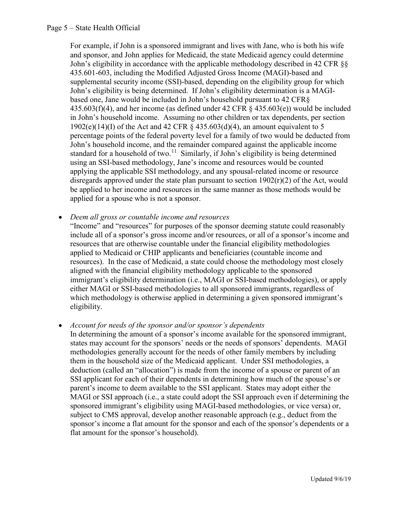# Page 5 – State Health Official

For example, if John is a sponsored immigrant and lives with Jane, who is both his wife and sponsor, and John applies for Medicaid, the state Medicaid agency could determine John's eligibility in accordance with the applicable methodology described in 42 CFR §§ 435.601-603, including the Modified Adjusted Gross Income (MAGI)-based and supplemental security income (SSI)-based, depending on the eligibility group for which John's eligibility is being determined. If John's eligibility determination is a MAGIbased one, Jane would be included in John's household pursuant to 42 CFR§  $435.603(f)(4)$ , and her income (as defined under 42 CFR  $\S$  435.603(e)) would be included in John's household income. Assuming no other children or tax dependents, per section 1902(e)(14)(I) of the Act and 42 CFR  $\S$  435.603(d)(4), an amount equivalent to 5 percentage points of the federal poverty level for a family of two would be deducted from John's household income, and the remainder compared against the applicable income standard for a household of two.<sup>11</sup> Similarly, if John's eligibility is being determined using an SSI-based methodology, Jane's income and resources would be counted applying the applicable SSI methodology, and any spousal-related income or resource disregards approved under the state plan pursuant to section  $1902(r)(2)$  of the Act, would be applied to her income and resources in the same manner as those methods would be applied for a spouse who is not a sponsor.

- Deem all gross or countable income and resources
	- "Income" and "resources" for purposes of the sponsor deeming statute could reasonably include all of a sponsor's gross income and/or resources, or all of a sponsor's income and resources that are otherwise countable under the financial eligibility methodologies applied to Medicaid or CHIP applicants and beneficiaries (countable income and resources). In the case of Medicaid, a state could choose the methodology most closely aligned with the financial eligibility methodology applicable to the sponsored immigrant's eligibility determination (i.e., MAGI or SSI-based methodologies), or apply either MAGI or SSI-based methodologies to all sponsored immigrants, regardless of which methodology is otherwise applied in determining a given sponsored immigrant's eligibility.
- Account for needs of the sponsor and/or sponsor's dependents

In determining the amount of a sponsor's income available for the sponsored immigrant, states may account for the sponsors' needs or the needs of sponsors' dependents. MAGI methodologies generally account for the needs of other family members by including them in the household size of the Medicaid applicant. Under SSI methodologies, a deduction (called an "allocation") is made from the income of a spouse or parent of an SSI applicant for each of their dependents in determining how much of the spouse's or parent's income to deem available to the SSI applicant. States may adopt either the MAGI or SSI approach (i.e., a state could adopt the SSI approach even if determining the sponsored immigrant's eligibility using MAGI-based methodologies, or vice versa) or, subject to CMS approval, develop another reasonable approach (e.g., deduct from the sponsor's income a flat amount for the sponsor and each of the sponsor's dependents or a flat amount for the sponsor's household).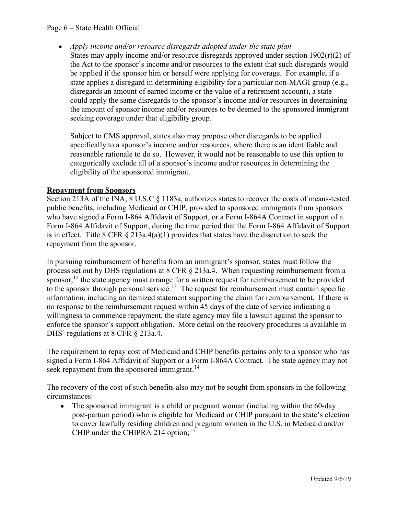# Page 6 – State Health Official

• Apply income and/or resource disregards adopted under the state plan States may apply income and/or resource disregards approved under section  $1902(r)(2)$  of the Act to the sponsor's income and/or resources to the extent that such disregards would be applied if the sponsor him or herself were applying for coverage. For example, if a state applies a disregard in determining eligibility for a particular non-MAGI group (e.g., disregards an amount of earned income or the value of a retirement account), a state could apply the same disregards to the sponsor's income and/or resources in determining the amount of sponsor income and/or resources to be deemed to the sponsored immigrant seeking coverage under that eligibility group.

Subject to CMS approval, states also may propose other disregards to be applied specifically to a sponsor's income and/or resources, where there is an identifiable and reasonable rationale to do so. However, it would not be reasonable to use this option to categorically exclude all of a sponsor's income and/or resources in determining the eligibility of the sponsored immigrant.

# Repayment from Sponsors

Section 213A of the INA, 8 U.S.C § 1183a, authorizes states to recover the costs of means-tested public benefits, including Medicaid or CHIP, provided to sponsored immigrants from sponsors who have signed a Form I-864 Affidavit of Support, or a Form I-864A Contract in support of a Form I-864 Affidavit of Support, during the time period that the Form I-864 Affidavit of Support is in effect. Title 8 CFR  $\S$  213a.4(a)(1) provides that states have the discretion to seek the repayment from the sponsor.

In pursuing reimbursement of benefits from an immigrant's sponsor, states must follow the process set out by DHS regulations at 8 CFR § 213a.4. When requesting reimbursement from a sponsor,  $12$  the state agency must arrange for a written request for reimbursement to be provided to the sponsor through personal service.<sup>13</sup> The request for reimbursement must contain specific information, including an itemized statement supporting the claim for reimbursement. If there is no response to the reimbursement request within 45 days of the date of service indicating a willingness to commence repayment, the state agency may file a lawsuit against the sponsor to enforce the sponsor's support obligation. More detail on the recovery procedures is available in digibility of the sponsored immigrant.<br> **Repayment from Sponsors**<br>
digibility of the sponsored immigrant.<br> **Repayment from Sponsors**<br>
Section 213A of the INA, 8 U.S.C § 1183a, authorizes states to recover the costs of mea

The requirement to repay cost of Medicaid and CHIP benefits pertains only to a sponsor who has signed a Form I-864 Affidavit of Support or a Form I-864A Contract. The state agency may not seek repayment from the sponsored immigrant.<sup>14</sup>

The recovery of the cost of such benefits also may not be sought from sponsors in the following circumstances:

The sponsored immigrant is a child or pregnant woman (including within the 60-day  $\bullet$ post-partum period) who is eligible for Medicaid or CHIP pursuant to the state's election to cover lawfully residing children and pregnant women in the U.S. in Medicaid and/or CHIP under the CHIPRA 214 option;  $15$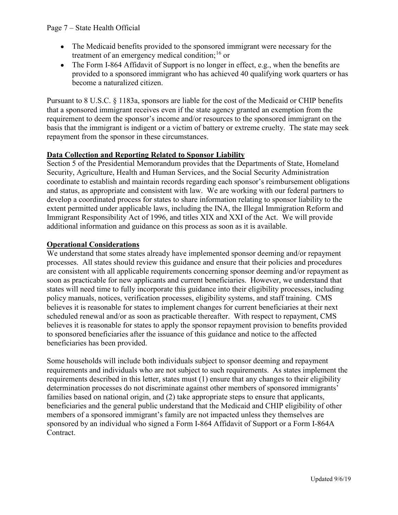- The Medicaid benefits provided to the sponsored immigrant were necessary for the treatment of an emergency medical condition;<sup>16</sup> or
- The Form I-864 Affidavit of Support is no longer in effect, e.g., when the benefits are provided to a sponsored immigrant who has achieved 40 qualifying work quarters or has become a naturalized citizen.

Pursuant to 8 U.S.C. § 1183a, sponsors are liable for the cost of the Medicaid or CHIP benefits that a sponsored immigrant receives even if the state agency granted an exemption from the requirement to deem the sponsor's income and/or resources to the sponsored immigrant on the basis that the immigrant is indigent or a victim of battery or extreme cruelty. The state may seek repayment from the sponsor in these circumstances.

# Data Collection and Reporting Related to Sponsor Liability

Section 5 of the Presidential Memorandum provides that the Departments of State, Homeland Security, Agriculture, Health and Human Services, and the Social Security Administration coordinate to establish and maintain records regarding each sponsor's reimbursement obligations and status, as appropriate and consistent with law. We are working with our federal partners to develop a coordinated process for states to share information relating to sponsor liability to the extent permitted under applicable laws, including the INA, the Illegal Immigration Reform and Immigrant Responsibility Act of 1996, and titles XIX and XXI of the Act. We will provide additional information and guidance on this process as soon as it is available.

# Operational Considerations

We understand that some states already have implemented sponsor deeming and/or repayment processes. All states should review this guidance and ensure that their policies and procedures are consistent with all applicable requirements concerning sponsor deeming and/or repayment as soon as practicable for new applicants and current beneficiaries. However, we understand that states will need time to fully incorporate this guidance into their eligibility processes, including policy manuals, notices, verification processes, eligibility systems, and staff training. CMS believes it is reasonable for states to implement changes for current beneficiaries at their next **Data Collection and Reporting Related to Sponsor Liability**<br>Security, Agriculture, Health and Henman Services, and the Doeial Security Administration<br>Security, Agriculture, Health and Henman Services, and the Social Secur believes it is reasonable for states to apply the sponsor repayment provision to benefits provided to sponsored beneficiaries after the issuance of this guidance and notice to the affected beneficiaries has been provided. From the states of this guidean environment and provide the must are the must all provide and<br>timagrant Responsibility Act of 1996, and titles XIX and XXI of the Act. We will provide<br>additional information and guidance on **System Multimary conservation**<br>We understand that some states already have implemented sponsor deeming and/or repayment<br>processes. All states should review this guidance and ensure that their policies and procedures<br>are c

Some households will include both individuals subject to sponsor deeming and repayment requirements and individuals who are not subject to such requirements. As states implement the determination processes do not discriminate against other members of sponsored immigrants' families based on national origin, and (2) take appropriate steps to ensure that applicants, beneficiaries and the general public understand that the Medicaid and CHIP eligibility of other sponsored by an individual who signed a Form I-864 Affidavit of Support or a Form I-864A Contract.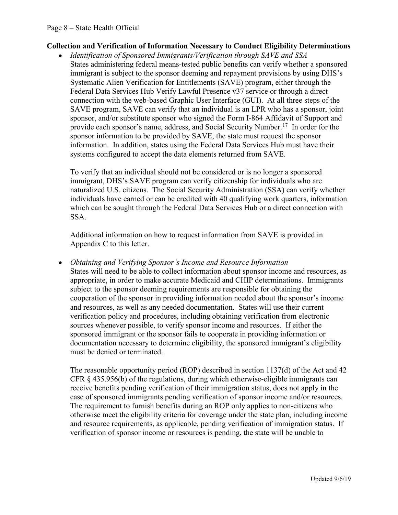# Collection and Verification of Information Necessary to Conduct Eligibility Determinations

Identification of Sponsored Immigrants/Verification through SAVE and SSA States administering federal means-tested public benefits can verify whether a sponsored immigrant is subject to the sponsor deeming and repayment provisions by using DHS's Systematic Alien Verification for Entitlements (SAVE) program, either through the Federal Data Services Hub Verify Lawful Presence v37 service or through a direct connection with the web-based Graphic User Interface (GUI). At all three steps of the SAVE program, SAVE can verify that an individual is an LPR who has a sponsor, joint sponsor, and/or substitute sponsor who signed the Form I-864 Affidavit of Support and provide each sponsor's name, address, and Social Security Number.<sup>17</sup> In order for the sponsor information to be provided by SAVE, the state must request the sponsor information. In addition, states using the Federal Data Services Hub must have their systems configured to accept the data elements returned from SAVE.

To verify that an individual should not be considered or is no longer a sponsored immigrant, DHS's SAVE program can verify citizenship for individuals who are naturalized U.S. citizens. The Social Security Administration (SSA) can verify whether individuals have earned or can be credited with 40 qualifying work quarters, information which can be sought through the Federal Data Services Hub or a direct connection with SSA.

Additional information on how to request information from SAVE is provided in Appendix C to this letter.

Obtaining and Verifying Sponsor's Income and Resource Information States will need to be able to collect information about sponsor income and resources, as appropriate, in order to make accurate Medicaid and CHIP determinations. Immigrants subject to the sponsor deeming requirements are responsible for obtaining the cooperation of the sponsor in providing information needed about the sponsor's income and resources, as well as any needed documentation. States will use their current verification policy and procedures, including obtaining verification from electronic sources whenever possible, to verify sponsor income and resources. If either the sponsored immigrant or the sponsor fails to cooperate in providing information or documentation necessary to determine eligibility, the sponsored immigrant's eligibility must be denied or terminated.

The reasonable opportunity period (ROP) described in section 1137(d) of the Act and 42 CFR § 435.956(b) of the regulations, during which otherwise-eligible immigrants can receive benefits pending verification of their immigration status, does not apply in the case of sponsored immigrants pending verification of sponsor income and/or resources. The requirement to furnish benefits during an ROP only applies to non-citizens who otherwise meet the eligibility criteria for coverage under the state plan, including income and resource requirements, as applicable, pending verification of immigration status. If verification of sponsor income or resources is pending, the state will be unable to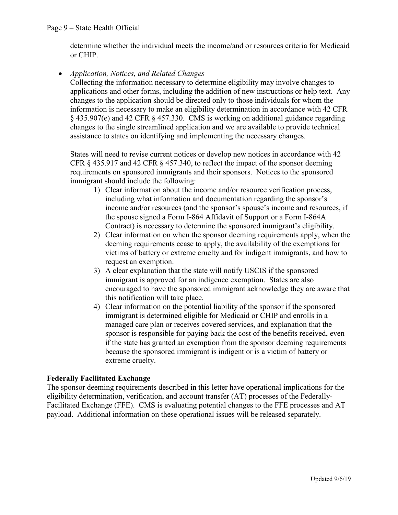determine whether the individual meets the income/and or resources criteria for Medicaid or CHIP.

# • Application, Notices, and Related Changes

Collecting the information necessary to determine eligibility may involve changes to applications and other forms, including the addition of new instructions or help text. Any changes to the application should be directed only to those individuals for whom the information is necessary to make an eligibility determination in accordance with 42 CFR § 435.907(e) and 42 CFR § 457.330. CMS is working on additional guidance regarding changes to the single streamlined application and we are available to provide technical assistance to states on identifying and implementing the necessary changes. Health Official<br>
me whether the individual meets the income/and or resources criteria for Medicaid<br>
P.<br>
ttion, Notices, and Related Changes<br>
mig the information necessary to determine eligibility may involve changes to<br>
t trion, Notices, and Related Changes<br>
ing the information necessary to determine eligibility may involve changes to<br>
to its and other forms, including the dedition of new instructions or help text. Any<br>
too sand other forms

States will need to revise current notices or develop new notices in accordance with 42 CFR § 435.917 and 42 CFR § 457.340, to reflect the impact of the sponsor deeming requirements on sponsored immigrants and their sponsors. Notices to the sponsored immigrant should include the following:

- including what information and documentation regarding the sponsor's income and/or resources (and the sponsor's spouse's income and resources, if the spouse signed a Form I-864 Affidavit of Support or a Form I-864A Contract) is necessary to determine the sponsored immigrant's eligibility. 3) A clear explanation many to the state will notify of the sponsor of the simulation is necessary to make an eligibility determination in accordance with 42 CFR 07(e) and 42 CFR § 457.330. CMS is working on additional gu
- deeming requirements cease to apply, the availability of the exemptions for victims of battery or extreme cruelty and for indigent immigrants, and how to request an exemption.
- immigrant is approved for an indigence exemption. States are also encouraged to have the sponsored immigrant acknowledge they are aware that this notification will take place.
- et to state on technicity and implemential and necessary sameson.<br>
4) The case of the similar and the similar metric of the sponsor derming<br>
413.5.917 and 42 CFR § 457.340, to reflect the impact of the sponsored meming<br>
me immigrant is determined eligible for Medicaid or CHIP and enrolls in a managed care plan or receives covered services, and explanation that the sponsor is responsible for paying back the cost of the benefits received, even if the state has granted an exemption from the sponsor deeming requirements because the sponsored immigrant is indigent or is a victim of battery or extreme cruelty.

# Federally Facilitated Exchange

The sponsor deeming requirements described in this letter have operational implications for the eligibility determination, verification, and account transfer (AT) processes of the Federally-Facilitated Exchange (FFE). CMS is evaluating potential changes to the FFE processes and AT payload. Additional information on these operational issues will be released separately.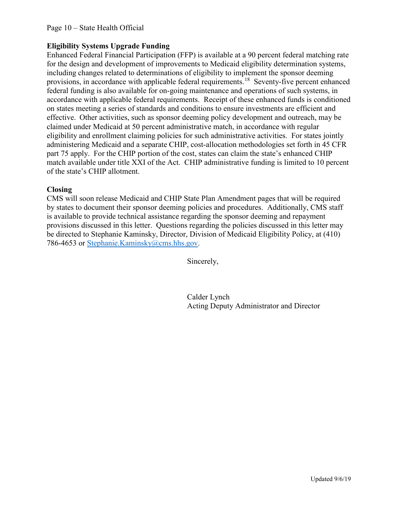# Eligibility Systems Upgrade Funding

Enhanced Federal Financial Participation (FFP) is available at a 90 percent federal matching rate for the design and development of improvements to Medicaid eligibility determination systems, including changes related to determinations of eligibility to implement the sponsor deeming provisions, in accordance with applicable federal requirements.<sup>18</sup> Seventy-five percent enhanced federal funding is also available for on-going maintenance and operations of such systems, in accordance with applicable federal requirements. Receipt of these enhanced funds is conditioned on states meeting a series of standards and conditions to ensure investments are efficient and effective. Other activities, such as sponsor deeming policy development and outreach, may be claimed under Medicaid at 50 percent administrative match, in accordance with regular eligibility and enrollment claiming policies for such administrative activities. For states jointly administering Medicaid and a separate CHIP, cost-allocation methodologies set forth in 45 CFR part 75 apply. For the CHIP portion of the cost, states can claim the state's enhanced CHIP match available under title XXI of the Act. CHIP administrative funding is limited to 10 percent of the state's CHIP allotment.

# Closing

CMS will soon release Medicaid and CHIP State Plan Amendment pages that will be required by states to document their sponsor deeming policies and procedures. Additionally, CMS staff is available to provide technical assistance regarding the sponsor deeming and repayment provisions discussed in this letter. Questions regarding the policies discussed in this letter may be directed to Stephanie Kaminsky, Director, Division of Medicaid Eligibility Policy, at (410) 786-4653 or <u>Stephanie.Kaminsky@cms.hhs.gov</u>.<br>Sincerely,

Calder Lynch Acting Deputy Administrator and Director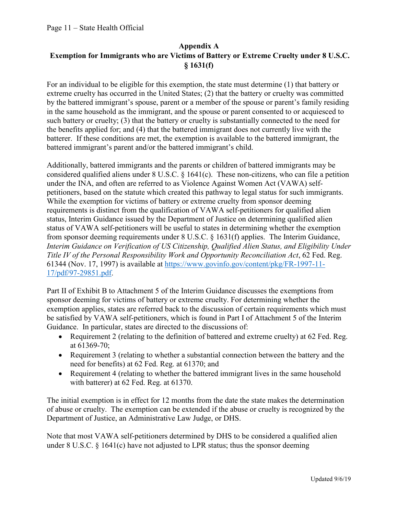# Appendix A Exemption for Immigrants who are Victims of Battery or Extreme Cruelty under 8 U.S.C. § 1631(f)

For an individual to be eligible for this exemption, the state must determine (1) that battery or extreme cruelty has occurred in the United States; (2) that the battery or cruelty was committed by the battered immigrant's spouse, parent or a member of the spouse or parent's family residing in the same household as the immigrant, and the spouse or parent consented to or acquiesced to such battery or cruelty; (3) that the battery or cruelty is substantially connected to the need for the benefits applied for; and (4) that the battered immigrant does not currently live with the batterer. If these conditions are met, the exemption is available to the battered immigrant, the battered immigrant's parent and/or the battered immigrant's child.

Additionally, battered immigrants and the parents or children of battered immigrants may be considered qualified aliens under 8 U.S.C. § 1641(c). These non-citizens, who can file a petition under the INA, and often are referred to as Violence Against Women Act (VAWA) selfpetitioners, based on the statute which created this pathway to legal status for such immigrants. While the exemption for victims of battery or extreme cruelty from sponsor deeming requirements is distinct from the qualification of VAWA self-petitioners for qualified alien status, Interim Guidance issued by the Department of Justice on determining qualified alien status of VAWA self-petitioners will be useful to states in determining whether the exemption from sponsor deeming requirements under 8 U.S.C. § 1631(f) applies. The Interim Guidance, Interim Guidance on Verification of US Citizenship, Qualified Alien Status, and Eligibility Under Title IV of the Personal Responsibility Work and Opportunity Reconciliation Act, 62 Fed. Reg. 61344 (Nov. 17, 1997) is available at https://www.govinfo.gov/content/pkg/FR-1997-11- 17/pdf/97-29851.pdf.

Part II of Exhibit B to Attachment 5 of the Interim Guidance discusses the exemptions from sponsor deeming for victims of battery or extreme cruelty. For determining whether the exemption applies, states are referred back to the discussion of certain requirements which must be satisfied by VAWA self-petitioners, which is found in Part I of Attachment 5 of the Interim Guidance. In particular, states are directed to the discussions of:

- Requirement 2 (relating to the definition of battered and extreme cruelty) at 62 Fed. Reg. at 61369-70;
- Requirement 3 (relating to whether a substantial connection between the battery and the need for benefits) at 62 Fed. Reg. at 61370; and
- Requirement 4 (relating to whether the battered immigrant lives in the same household with batterer) at 62 Fed. Reg. at 61370.

The initial exemption is in effect for 12 months from the date the state makes the determination of abuse or cruelty. The exemption can be extended if the abuse or cruelty is recognized by the Department of Justice, an Administrative Law Judge, or DHS.

Note that most VAWA self-petitioners determined by DHS to be considered a qualified alien under 8 U.S.C. § 1641(c) have not adjusted to LPR status; thus the sponsor deeming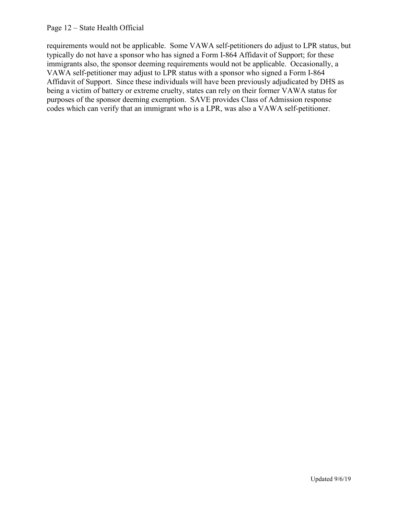# Page 12 – State Health Official

requirements would not be applicable. Some VAWA self-petitioners do adjust to LPR status, but typically do not have a sponsor who has signed a Form I-864 Affidavit of Support; for these immigrants also, the sponsor deeming requirements would not be applicable. Occasionally, a VAWA self-petitioner may adjust to LPR status with a sponsor who signed a Form I-864 Affidavit of Support. Since these individuals will have been previously adjudicated by DHS as being a victim of battery or extreme cruelty, states can rely on their former VAWA status for purposes of the sponsor deeming exemption. SAVE provides Class of Admission response codes which can verify that an immigrant who is a LPR, was also a VAWA self-petitioner.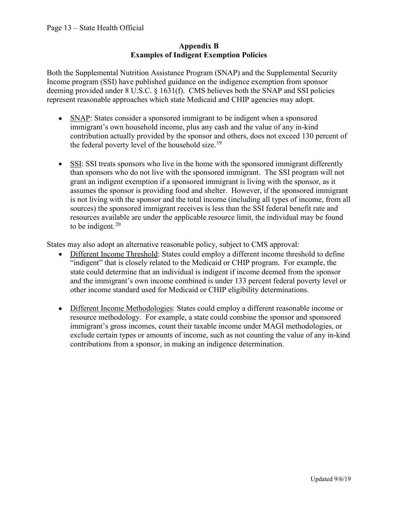# Appendix B Examples of Indigent Exemption Policies

Both the Supplemental Nutrition Assistance Program (SNAP) and the Supplemental Security Income program (SSI) have published guidance on the indigence exemption from sponsor deeming provided under 8 U.S.C. § 1631(f). CMS believes both the SNAP and SSI policies represent reasonable approaches which state Medicaid and CHIP agencies may adopt.

- SNAP: States consider a sponsored immigrant to be indigent when a sponsored immigrant's own household income, plus any cash and the value of any in-kind contribution actually provided by the sponsor and others, does not exceed 130 percent of the federal poverty level of the household size.<sup>19</sup>
- SSI: SSI treats sponsors who live in the home with the sponsored immigrant differently than sponsors who do not live with the sponsored immigrant. The SSI program will not grant an indigent exemption if a sponsored immigrant is living with the sponsor, as it assumes the sponsor is providing food and shelter. However, if the sponsored immigrant is not living with the sponsor and the total income (including all types of income, from all sources) the sponsored immigrant receives is less than the SSI federal benefit rate and resources available are under the applicable resource limit, the individual may be found to be indigent. $20$

States may also adopt an alternative reasonable policy, subject to CMS approval:

- Different Income Threshold: States could employ a different income threshold to define "indigent" that is closely related to the Medicaid or CHIP program. For example, the state could determine that an individual is indigent if income deemed from the sponsor and the immigrant's own income combined is under 133 percent federal poverty level or other income standard used for Medicaid or CHIP eligibility determinations.
- Different Income Methodologies: States could employ a different reasonable income or resource methodology. For example, a state could combine the sponsor and sponsored immigrant's gross incomes, count their taxable income under MAGI methodologies, or exclude certain types or amounts of income, such as not counting the value of any in-kind contributions from a sponsor, in making an indigence determination.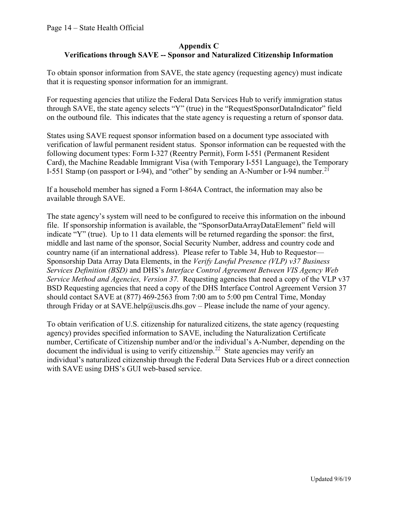# Appendix C Appendix C<br>
Verifications through SAVE -- Sponsor and Naturalized Citizenship Information<br>
tain sponsor information from SAVE, the state agency (requesting agency) must indicate<br>
is requesting sponsor information for an im

To obtain sponsor information from SAVE, the state agency (requesting agency) must indicate that it is requesting sponsor information for an immigrant.

For requesting agencies that utilize the Federal Data Services Hub to verify immigration status through SAVE, the state agency selects "Y" (true) in the "RequestSponsorDataIndicator" field on the outbound file. This indicates that the state agency is requesting a return of sponsor data.

States using SAVE request sponsor information based on a document type associated with verification of lawful permanent resident status. Sponsor information can be requested with the following document types: Form I-327 (Reentry Permit), Form I-551 (Permanent Resident Card), the Machine Readable Immigrant Visa (with Temporary I-551 Language), the Temporary I-551 Stamp (on passport or I-94), and "other" by sending an A-Number or I-94 number.<sup>21</sup>

If a household member has signed a Form I-864A Contract, the information may also be available through SAVE.

The state agency's system will need to be configured to receive this information on the inbound file. If sponsorship information is available, the "SponsorDataArrayDataElement" field will indicate "Y" (true). Up to 11 data elements will be returned regarding the sponsor: the first, middle and last name of the sponsor, Social Security Number, address and country code and country name (if an international address). Please refer to Table 34, Hub to Requestor— Sponsorship Data Array Data Elements, in the Verify Lawful Presence (VLP) v37 Business Services Definition (BSD) and DHS's Interface Control Agreement Between VIS Agency Web Service Method and Agencies, Version 37. Requesting agencies that need a copy of the VLP v37 BSD Requesting agencies that need a copy of the DHS Interface Control Agreement Version 37 should contact SAVE at (877) 469-2563 from 7:00 am to 5:00 pm Central Time, Monday through Friday or at SAVE.help@uscis.dhs.gov – Please include the name of your agency.

To obtain verification of U.S. citizenship for naturalized citizens, the state agency (requesting agency) provides specified information to SAVE, including the Naturalization Certificate number, Certificate of Citizenship number and/or the individual's A-Number, depending on the document the individual is using to verify citizenship.<sup>22</sup> State agencies may verify an individual's naturalized citizenship through the Federal Data Services Hub or a direct connection with SAVE using DHS's GUI web-based service.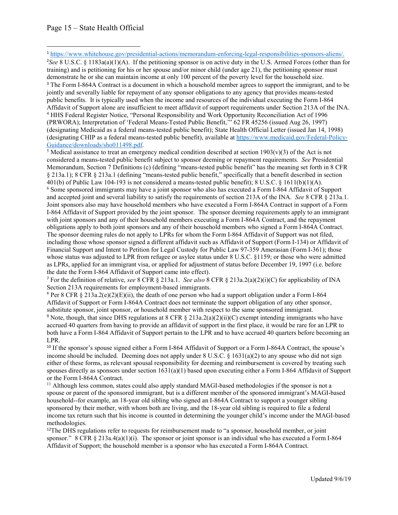$e^2$ See 8 U.S.C. § 1183a(a)(1)(A). If the petitioning sponsor is on active duty in the U.S. Armed Forces (other than for training) and is petitioning for his or her spouse and/or minor child (under age 21), the petitioning sponsor must demonstrate he or she can maintain income at only 100 percent of the poverty level for the household size. <sup>3</sup> The Form I-864A Contract is a document in which a household member agrees to support the immigrant, and to be jointly and severally liable for repayment of any sponsor obligations to any agency that provides means-tested public benefits. It is typically used when the income and resources of the individual executing the Form I-864 Page 15 – State Health Official<br>
<sup>1</sup> https://www.whitehouse.gov/presidential-actions/memorandum-enforcing-legal-responsibilities-sponsors-aliens/<br>
5/se 8 U.S.C. § 1183a(a)(1)(A). If the petitioning sponsor is on active dut Page 15 – State Health Official<br>
Interst/www.whitehouse.gov/presidential-actions/memorandum-enforcing-legal-responsibilities-sponsors-aliens/<br>  $\frac{1}{256\%}$  8.0.5.C. 8.1183a(a)(1)(A). If the peditioning sponsor is on acti (designating Medicaid as a federal means-tested public benefit); State Health Official Letter (issued Jan 14, 1998) (designating CHIP as a federal means-tested public benefit), available at https://www.medicaid.gov/Federal-Policy-Page 15 – State Health Official<br>
https://www.whitehouse.gov/presidential-actions/memorandum-enforcing-legal-responsibilities-sponsors-aliens/<br>  $\frac{1}{2}$ Size 8 U.S.C. § 1183a(a)(1)(A). If the petitioning sponsor is on acti Page 15 – State Health Official<br>
https://www.whitehouse.gov/mesidential-actions/memorandum-enforcing-legal-responsibilities-sponsors-aliens/<br>
Nove 8 U.S.C. § 1183a(a)(1)(A). If the petitioning sponsor is on active dury in

 $\frac{\text{Guidance}/\text{downloads}/\text{sho011498.pdf}}{\text{Medical assistance to treat an emergency medical condition described at section 1903}(v)(3) of the Act is not.}$ considered a means-tested public benefit subject to sponsor deeming or repayment requirements. See Presidential Memorandum, Section 7 Definitions (c) (defining "means-tested public benefit" has the meaning set forth in 8 CFR § 213a.1); 8 CFR § 213a.1 (defining "means-tested public benefit," specifically that a benefit described in section 401(b) of Public Law 104-193 is not considered a means-tested public benefit); 8 U.S.C. § 1611(b)(1)(A). and the satisfy the satisfy of the periodic minimum and the requirements of the requirements of the requirements of the requirements of the requirements of the requirements of the requirement of the requirement in the req Joint sponsors also may have household members who have executed a Form I-864A Contract in support of a Form <sup>3</sup> https://www.whitehouse.gov/presidential-actions/memoratedum-enforcing-legal-responsibilities-sponsors-aliens/.<br><sup>5</sup>/see 8 U.S.C. § 1183649(1)(A). If the petitioning sponsor is on active duy in the U.S. Armed Forces (oth <sup>1</sup> huns://www.whitehologs.cov/presidential-sticon/smononedum-enforcine/searl-responsibilities-pensors allength of the relations of their thin  $\sqrt{3}$ . The performality a particular particular for the response and point i obligations apply to both joint sponsors and any of their household members who signed a Form I-864A Contract. It<br>minimal per is to the provise univ of more cannot and (under age 21), the petitioning sponsor must<br>demonstrate he or she can maintain income at only 100 percent of the poverty level for the bousehold size.<br>The Form 1-86 including those whose sponsor signed a different affidavit such as Affidavit of Support (Form I-134) or Affidavit of Financial Support and Intent to Petition for Legal Custody for Public Law 97-359 Amerasian (Form I-361); those whose status was adjusted to LPR from refugee or asylee status under 8 U.S.C. §1159; or those who were admitted public benefits. It is typically used when the income and resources of the individual evecuting the Form 1-864<br>Affidevit of Support alone are insufficient to meet affidevit of support requirements under Section 213A of the the date the Form I-864 Affidavit of Support came into effect). <sup>1</sup> HIMS Federal Register Notice, "Personal Responsibility and Woik Opportunity Reconcillation Act of 1996<br>(IPRIVORA), laterpretation of "Federal means-tested public benefit," 62 FR 45256 (issued Ang 26, 1997)<br>(designatin (designating Colligated is follow the support of the support of any other is the support of Support or Necktrick (Support or Necktrick or Necktrick or Necktrick assistance to treat an energency medical states not terminate considered a means-leaded public benefit subject to sponsor deeming or repayment requirements. See Presidential<br>Memorandum, Section 7 Definitions (c) (defining "means-lessed plulic benefit" has the nensing set forth in 8 G <sup>6</sup>S Come sponsored immigrants may have a joint sponsor who also has executed a Form 1-864 Affidavit of Support provided by the pinit sponsor. The sponsor description for Support E-The 1-864 Control and the Such Distribut with joint sponsors and any of their household members executing a Form 1-864A Contract, and the repayment<br>The sponsor decreasing multistary and any of their household members who signed a Form I-S64A Contract.<br>The sponsor

Section 213A requirements for employment-based immigrants.

<sup>8</sup> Per 8 CFR  $\S$  213a.2(e)(2)(E)(ii), the death of one person who had a support obligation under a Form I-864 substitute sponsor, joint sponsor, or household member with respect to the same sponsored immigrant.

<sup>9</sup> Note, though, that since DHS regulations at 8 CFR  $\S$  213a.2(a)(2)(ii)(C) exempt intending immigrants who have both have a Form I-864 Affidavit of Support pertain to the LPR and to have accrued 40 quarters before becoming an LPR.

<sup>10</sup> If the sponsor's spouse signed either a Form I-864 Affidavit of Support or a Form I-864A Contract, the spouse's either of these forms, as relevant spousal responsibility for deeming and reimbursement is covered by treating such spouses directly as sponsors under section 1631(a)(1) based upon executing either a Form I-864 Affidavit of Support or the Form I-864A Contract.

spouse or parent of the sponsored immigrant, but is a different member of the sponsored immigrant's MAGI-based household--for example, an 18-year old sibling who signed an I-864A Contract to support a younger sibling sponsored by their mother, with whom both are living, and the 18-year old sibling is required to file a federal income tax return such that his income is counted in determining the younger child's income under the MAGI-based methodologies.

<sup>12</sup>The DHS regulations refer to requests for reimbursement made to "a sponsor, household member, or joint sponsor." 8 CFR  $\S$  213a.4(a)(1)(i). The sponsor or joint sponsor is an individual who has executed a Form I-864 Affidavit of Support; the household member is a sponsor who has executed a Form I-864A Contract.

<sup>1</sup> https://www.whitehouse.gov/presidential-actions/memorandum-enforcing-legal-responsibilities-sponsors-aliens/.